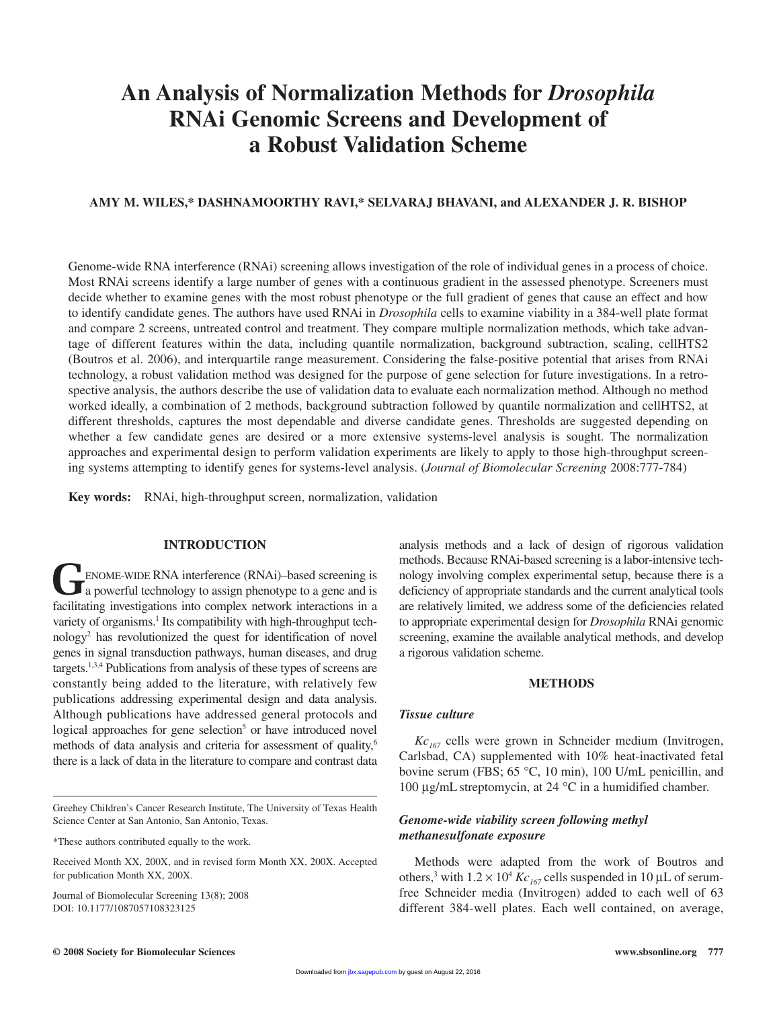# **An Analysis of Normalization Methods for** *Drosophila* **RNAi Genomic Screens and Development of a Robust Validation Scheme**

# **AMY M. WILES,\* DASHNAMOORTHY RAVI,\* SELVARAJ BHAVANI, and ALEXANDER J. R. BISHOP**

Genome-wide RNA interference (RNAi) screening allows investigation of the role of individual genes in a process of choice. Most RNAi screens identify a large number of genes with a continuous gradient in the assessed phenotype. Screeners must decide whether to examine genes with the most robust phenotype or the full gradient of genes that cause an effect and how to identify candidate genes. The authors have used RNAi in *Drosophila* cells to examine viability in a 384-well plate format and compare 2 screens, untreated control and treatment. They compare multiple normalization methods, which take advantage of different features within the data, including quantile normalization, background subtraction, scaling, cellHTS2 (Boutros et al. 2006), and interquartile range measurement. Considering the false-positive potential that arises from RNAi technology, a robust validation method was designed for the purpose of gene selection for future investigations. In a retrospective analysis, the authors describe the use of validation data to evaluate each normalization method. Although no method worked ideally, a combination of 2 methods, background subtraction followed by quantile normalization and cellHTS2, at different thresholds, captures the most dependable and diverse candidate genes. Thresholds are suggested depending on whether a few candidate genes are desired or a more extensive systems-level analysis is sought. The normalization approaches and experimental design to perform validation experiments are likely to apply to those high-throughput screening systems attempting to identify genes for systems-level analysis. (*Journal of Biomolecular Screening* 2008:777-784)

**Key words:** RNAi, high-throughput screen, normalization, validation

# **INTRODUCTION**

**ENOME-WIDE RNA interference (RNAi)–based screening is** a powerful technology to assign phenotype to a gene and is facilitating investigations into complex network interactions in a variety of organisms.<sup>1</sup> Its compatibility with high-throughput technology2 has revolutionized the quest for identification of novel genes in signal transduction pathways, human diseases, and drug targets.1,3,4 Publications from analysis of these types of screens are constantly being added to the literature, with relatively few publications addressing experimental design and data analysis. Although publications have addressed general protocols and logical approaches for gene selection<sup>5</sup> or have introduced novel methods of data analysis and criteria for assessment of quality,<sup>6</sup> there is a lack of data in the literature to compare and contrast data

Journal of Biomolecular Screening 13(8); 2008 DOI: 10.1177/1087057108323125

analysis methods and a lack of design of rigorous validation methods. Because RNAi-based screening is a labor-intensive technology involving complex experimental setup, because there is a deficiency of appropriate standards and the current analytical tools are relatively limited, we address some of the deficiencies related to appropriate experimental design for *Drosophila* RNAi genomic screening, examine the available analytical methods, and develop a rigorous validation scheme.

## **METHODS**

## *Tissue culture*

*Kc*<sub>167</sub> cells were grown in Schneider medium (Invitrogen, Carlsbad, CA) supplemented with 10% heat-inactivated fetal bovine serum (FBS; 65 °C, 10 min), 100 U/mL penicillin, and 100 μg/mL streptomycin, at 24 °C in a humidified chamber.

# *Genome-wide viability screen following methyl methanesulfonate exposure*

Methods were adapted from the work of Boutros and others,<sup>3</sup> with  $1.2 \times 10^4$  *Kc*<sub>167</sub> cells suspended in 10 µL of serumfree Schneider media (Invitrogen) added to each well of 63 different 384-well plates. Each well contained, on average,

Greehey Children's Cancer Research Institute, The University of Texas Health Science Center at San Antonio, San Antonio, Texas.

<sup>\*</sup>These authors contributed equally to the work.

Received Month XX, 200X, and in revised form Month XX, 200X. Accepted for publication Month XX, 200X.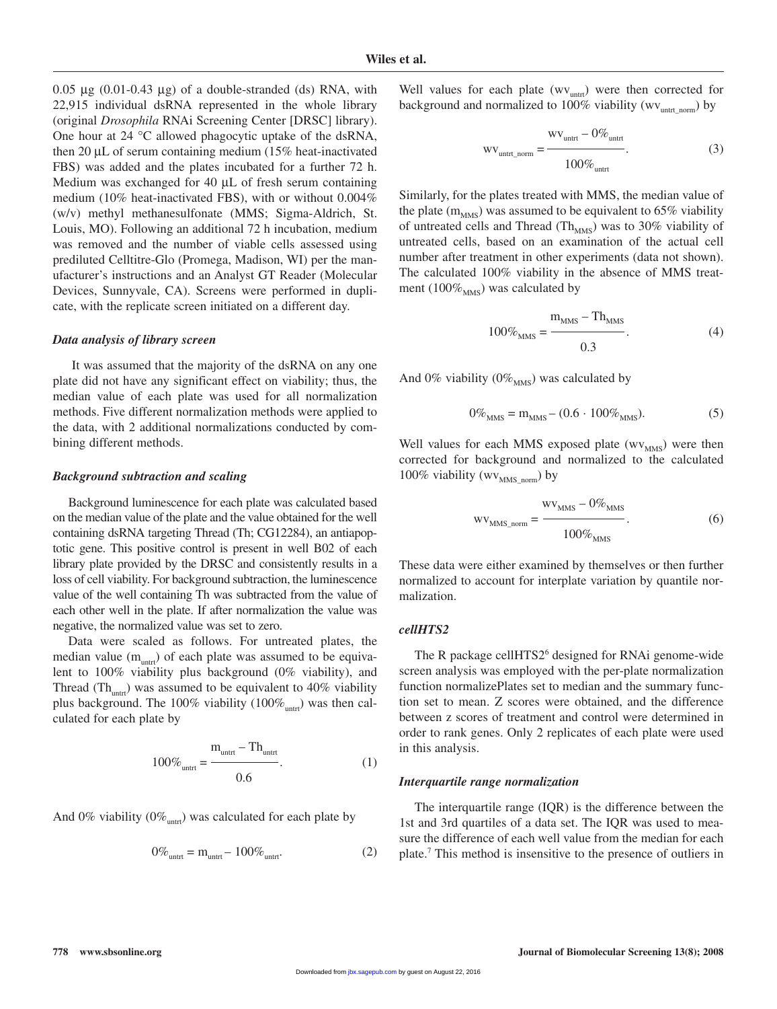$0.05 \mu$ g (0.01-0.43 μg) of a double-stranded (ds) RNA, with 22,915 individual dsRNA represented in the whole library (original *Drosophila* RNAi Screening Center [DRSC] library). One hour at 24 °C allowed phagocytic uptake of the dsRNA, then 20 μL of serum containing medium (15% heat-inactivated FBS) was added and the plates incubated for a further 72 h. Medium was exchanged for 40 μL of fresh serum containing medium (10% heat-inactivated FBS), with or without 0.004% (w/v) methyl methanesulfonate (MMS; Sigma-Aldrich, St. Louis, MO). Following an additional 72 h incubation, medium was removed and the number of viable cells assessed using prediluted Celltitre-Glo (Promega, Madison, WI) per the manufacturer's instructions and an Analyst GT Reader (Molecular Devices, Sunnyvale, CA). Screens were performed in duplicate, with the replicate screen initiated on a different day.

#### *Data analysis of library screen*

It was assumed that the majority of the dsRNA on any one plate did not have any significant effect on viability; thus, the median value of each plate was used for all normalization methods. Five different normalization methods were applied to the data, with 2 additional normalizations conducted by combining different methods.

#### *Background subtraction and scaling*

Background luminescence for each plate was calculated based on the median value of the plate and the value obtained for the well containing dsRNA targeting Thread (Th; CG12284), an antiapoptotic gene. This positive control is present in well B02 of each library plate provided by the DRSC and consistently results in a loss of cell viability. For background subtraction, the luminescence value of the well containing Th was subtracted from the value of each other well in the plate. If after normalization the value was negative, the normalized value was set to zero.

Data were scaled as follows. For untreated plates, the median value  $(m_{untr})$  of each plate was assumed to be equivalent to 100% viability plus background (0% viability), and Thread (Th<sub>untrt</sub>) was assumed to be equivalent to 40% viability plus background. The 100% viability  $(100\%_{untr})$  was then calculated for each plate by

$$
100\%_{\text{untrt}} = \frac{m_{\text{untrt}} - Th_{\text{untrt}}}{0.6}.
$$
 (1)

And 0% viability (0% $_{\text{untr}}$ ) was calculated for each plate by

$$
0\%_{\text{untrt}} = m_{\text{untrt}} - 100\%_{\text{untrt}}.\tag{2}
$$

Well values for each plate  $(wv_{untr})$  were then corrected for background and normalized to  $100\%$  viability (wv<sub>untrt norm</sub>) by

$$
wv_{\text{untrt\_norm}} = \frac{wv_{\text{untrt}} - 0\%_{\text{untrt}}}{100\%_{\text{untrt}}}. \tag{3}
$$

Similarly, for the plates treated with MMS, the median value of the plate  $(m<sub>MMS</sub>)$  was assumed to be equivalent to 65% viability of untreated cells and Thread (Th<sub>MMS</sub>) was to 30% viability of untreated cells, based on an examination of the actual cell number after treatment in other experiments (data not shown). The calculated 100% viability in the absence of MMS treatment (100 $\%_{MMS}$ ) was calculated by

$$
100\%_{\rm MMS} = \frac{m_{\rm MMS} - Th_{\rm MMS}}{0.3}.
$$
 (4)

And 0% viability (0%  $_{MMS}$ ) was calculated by

$$
0\%_{MMS} = m_{MMS} - (0.6 \cdot 100\%_{MMS}).
$$
\n(5)

Well values for each MMS exposed plate  $(wv<sub>MMS</sub>)$  were then corrected for background and normalized to the calculated 100% viability (wv<sub>MMS\_norm</sub>) by

$$
wv_{MMS\_norm} = \frac{wv_{MMS} - 0\%_{MMS}}{100\%_{MMS}}.\t(6)
$$

These data were either examined by themselves or then further normalized to account for interplate variation by quantile normalization.

# *cellHTS2*

The R package cellHTS2<sup>6</sup> designed for RNAi genome-wide screen analysis was employed with the per-plate normalization function normalizePlates set to median and the summary function set to mean. Z scores were obtained, and the difference between z scores of treatment and control were determined in order to rank genes. Only 2 replicates of each plate were used in this analysis.

#### *Interquartile range normalization*

The interquartile range (IQR) is the difference between the 1st and 3rd quartiles of a data set. The IQR was used to measure the difference of each well value from the median for each plate.7 This method is insensitive to the presence of outliers in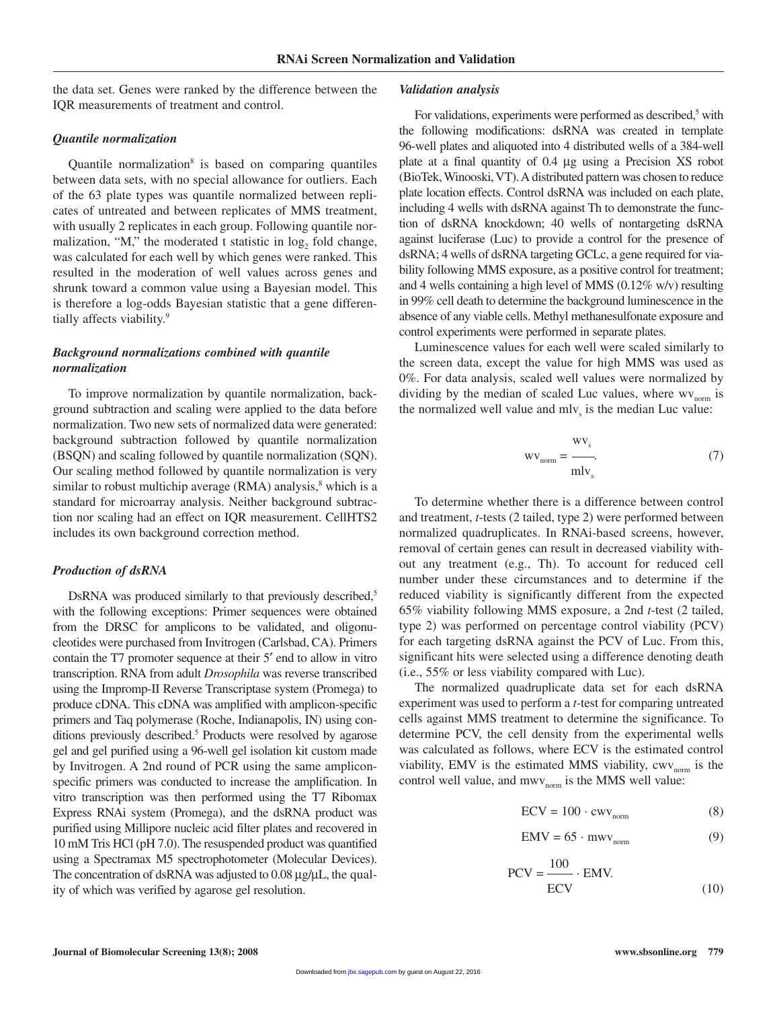the data set. Genes were ranked by the difference between the IQR measurements of treatment and control.

#### *Quantile normalization*

Quantile normalization $\delta$  is based on comparing quantiles between data sets, with no special allowance for outliers. Each of the 63 plate types was quantile normalized between replicates of untreated and between replicates of MMS treatment, with usually 2 replicates in each group. Following quantile normalization, "M," the moderated t statistic in  $log<sub>2</sub>$  fold change, was calculated for each well by which genes were ranked. This resulted in the moderation of well values across genes and shrunk toward a common value using a Bayesian model. This is therefore a log-odds Bayesian statistic that a gene differentially affects viability.<sup>9</sup>

## *Background normalizations combined with quantile normalization*

To improve normalization by quantile normalization, background subtraction and scaling were applied to the data before normalization. Two new sets of normalized data were generated: background subtraction followed by quantile normalization (BSQN) and scaling followed by quantile normalization (SQN). Our scaling method followed by quantile normalization is very similar to robust multichip average  $(RMA)$  analysis, $8$  which is a standard for microarray analysis. Neither background subtraction nor scaling had an effect on IQR measurement. CellHTS2 includes its own background correction method.

## *Production of dsRNA*

DsRNA was produced similarly to that previously described,<sup>5</sup> with the following exceptions: Primer sequences were obtained from the DRSC for amplicons to be validated, and oligonucleotides were purchased from Invitrogen (Carlsbad, CA). Primers contain the T7 promoter sequence at their 5′ end to allow in vitro transcription. RNA from adult *Drosophila* was reverse transcribed using the Impromp-II Reverse Transcriptase system (Promega) to produce cDNA. This cDNA was amplified with amplicon-specific primers and Taq polymerase (Roche, Indianapolis, IN) using conditions previously described.<sup>5</sup> Products were resolved by agarose gel and gel purified using a 96-well gel isolation kit custom made by Invitrogen. A 2nd round of PCR using the same ampliconspecific primers was conducted to increase the amplification. In vitro transcription was then performed using the T7 Ribomax Express RNAi system (Promega), and the dsRNA product was purified using Millipore nucleic acid filter plates and recovered in 10 mM Tris HCl (pH 7.0). The resuspended product was quantified using a Spectramax M5 spectrophotometer (Molecular Devices). The concentration of dsRNA was adjusted to 0.08 μg/μL, the quality of which was verified by agarose gel resolution.

## *Validation analysis*

For validations, experiments were performed as described, $5$  with the following modifications: dsRNA was created in template 96-well plates and aliquoted into 4 distributed wells of a 384-well plate at a final quantity of 0.4 μg using a Precision XS robot (BioTek, Winooski,VT). A distributed pattern was chosen to reduce plate location effects. Control dsRNA was included on each plate, including 4 wells with dsRNA against Th to demonstrate the function of dsRNA knockdown; 40 wells of nontargeting dsRNA against luciferase (Luc) to provide a control for the presence of dsRNA; 4 wells of dsRNA targeting GCLc, a gene required for viability following MMS exposure, as a positive control for treatment; and 4 wells containing a high level of MMS (0.12% w/v) resulting in 99% cell death to determine the background luminescence in the absence of any viable cells. Methyl methanesulfonate exposure and control experiments were performed in separate plates.

Luminescence values for each well were scaled similarly to the screen data, except the value for high MMS was used as 0%. For data analysis, scaled well values were normalized by dividing by the median of scaled Luc values, where  $w_{norm}$  is the normalized well value and  $m_v$  is the median Luc value:

$$
wv_{norm} = \frac{wv_s}{mlv_s}.
$$
 (7)

To determine whether there is a difference between control and treatment, *t*-tests (2 tailed, type 2) were performed between normalized quadruplicates. In RNAi-based screens, however, removal of certain genes can result in decreased viability without any treatment (e.g., Th). To account for reduced cell number under these circumstances and to determine if the reduced viability is significantly different from the expected 65% viability following MMS exposure, a 2nd *t*-test (2 tailed, type 2) was performed on percentage control viability (PCV) for each targeting dsRNA against the PCV of Luc. From this, significant hits were selected using a difference denoting death (i.e., 55% or less viability compared with Luc).

The normalized quadruplicate data set for each dsRNA experiment was used to perform a *t-*test for comparing untreated cells against MMS treatment to determine the significance. To determine PCV, the cell density from the experimental wells was calculated as follows, where ECV is the estimated control viability, EMV is the estimated MMS viability,  $cwv_{norm}$  is the control well value, and  $m_{W_{norm}}$  is the MMS well value:

 $100$ 

$$
ECV = 100 \cdot cwv_{norm} \tag{8}
$$

$$
EMV = 65 \cdot m w v_{norm}
$$
 (9)

$$
PCV = \frac{100}{ECV} \cdot EMV.
$$
 (10)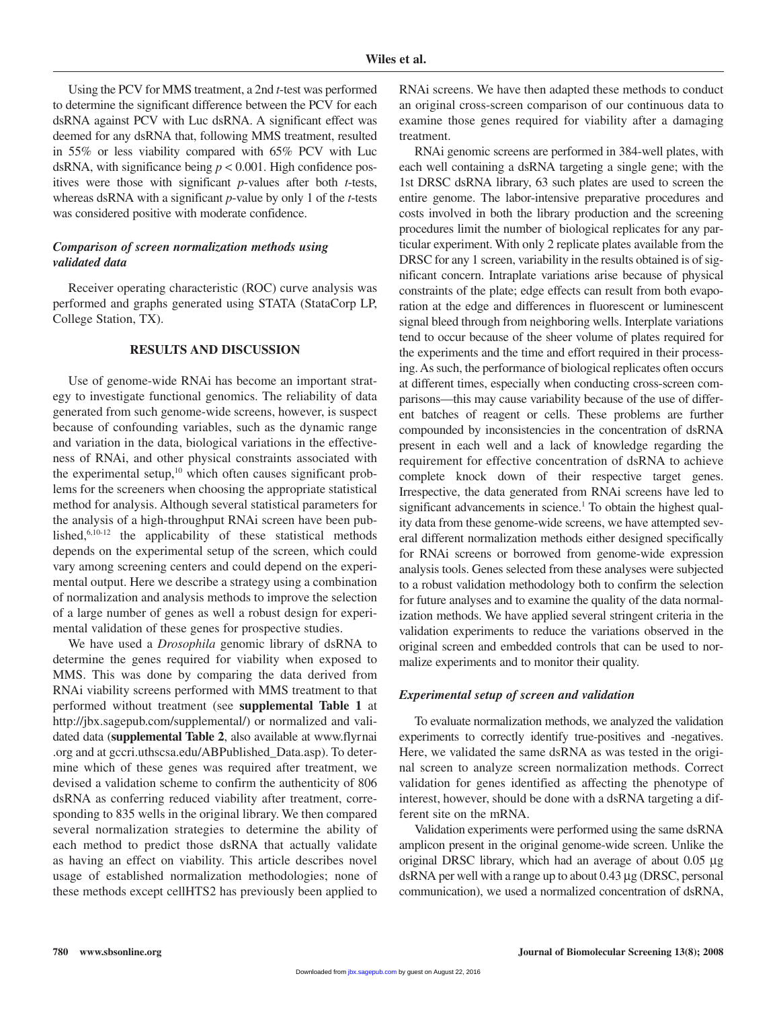Using the PCV for MMS treatment, a 2nd *t*-test was performed to determine the significant difference between the PCV for each dsRNA against PCV with Luc dsRNA. A significant effect was deemed for any dsRNA that, following MMS treatment, resulted in 55% or less viability compared with 65% PCV with Luc dsRNA, with significance being *p* < 0.001. High confidence positives were those with significant *p*-values after both *t*-tests, whereas dsRNA with a significant *p*-value by only 1 of the *t*-tests was considered positive with moderate confidence.

# *Comparison of screen normalization methods using validated data*

Receiver operating characteristic (ROC) curve analysis was performed and graphs generated using STATA (StataCorp LP, College Station, TX).

## **RESULTS AND DISCUSSION**

Use of genome-wide RNAi has become an important strategy to investigate functional genomics. The reliability of data generated from such genome-wide screens, however, is suspect because of confounding variables, such as the dynamic range and variation in the data, biological variations in the effectiveness of RNAi, and other physical constraints associated with the experimental setup, $10$  which often causes significant problems for the screeners when choosing the appropriate statistical method for analysis. Although several statistical parameters for the analysis of a high-throughput RNAi screen have been published, $6,10-12$  the applicability of these statistical methods depends on the experimental setup of the screen, which could vary among screening centers and could depend on the experimental output. Here we describe a strategy using a combination of normalization and analysis methods to improve the selection of a large number of genes as well a robust design for experimental validation of these genes for prospective studies.

We have used a *Drosophila* genomic library of dsRNA to determine the genes required for viability when exposed to MMS. This was done by comparing the data derived from RNAi viability screens performed with MMS treatment to that performed without treatment (see **supplemental Table 1** at http://jbx.sagepub.com/supplemental/) or normalized and validated data (**supplemental Table 2**, also available at www.flyrnai .org and at gccri.uthscsa.edu/ABPublished\_Data.asp). To determine which of these genes was required after treatment, we devised a validation scheme to confirm the authenticity of 806 dsRNA as conferring reduced viability after treatment, corresponding to 835 wells in the original library. We then compared several normalization strategies to determine the ability of each method to predict those dsRNA that actually validate as having an effect on viability. This article describes novel usage of established normalization methodologies; none of these methods except cellHTS2 has previously been applied to

RNAi screens. We have then adapted these methods to conduct an original cross-screen comparison of our continuous data to examine those genes required for viability after a damaging treatment.

RNAi genomic screens are performed in 384-well plates, with each well containing a dsRNA targeting a single gene; with the 1st DRSC dsRNA library, 63 such plates are used to screen the entire genome. The labor-intensive preparative procedures and costs involved in both the library production and the screening procedures limit the number of biological replicates for any particular experiment. With only 2 replicate plates available from the DRSC for any 1 screen, variability in the results obtained is of significant concern. Intraplate variations arise because of physical constraints of the plate; edge effects can result from both evaporation at the edge and differences in fluorescent or luminescent signal bleed through from neighboring wells. Interplate variations tend to occur because of the sheer volume of plates required for the experiments and the time and effort required in their processing. As such, the performance of biological replicates often occurs at different times, especially when conducting cross-screen comparisons—this may cause variability because of the use of different batches of reagent or cells. These problems are further compounded by inconsistencies in the concentration of dsRNA present in each well and a lack of knowledge regarding the requirement for effective concentration of dsRNA to achieve complete knock down of their respective target genes. Irrespective, the data generated from RNAi screens have led to significant advancements in science.<sup>1</sup> To obtain the highest quality data from these genome-wide screens, we have attempted several different normalization methods either designed specifically for RNAi screens or borrowed from genome-wide expression analysis tools. Genes selected from these analyses were subjected to a robust validation methodology both to confirm the selection for future analyses and to examine the quality of the data normalization methods. We have applied several stringent criteria in the validation experiments to reduce the variations observed in the original screen and embedded controls that can be used to normalize experiments and to monitor their quality.

## *Experimental setup of screen and validation*

To evaluate normalization methods, we analyzed the validation experiments to correctly identify true-positives and -negatives. Here, we validated the same dsRNA as was tested in the original screen to analyze screen normalization methods. Correct validation for genes identified as affecting the phenotype of interest, however, should be done with a dsRNA targeting a different site on the mRNA.

Validation experiments were performed using the same dsRNA amplicon present in the original genome-wide screen. Unlike the original DRSC library, which had an average of about 0.05 μg dsRNA per well with a range up to about 0.43 μg (DRSC, personal communication), we used a normalized concentration of dsRNA,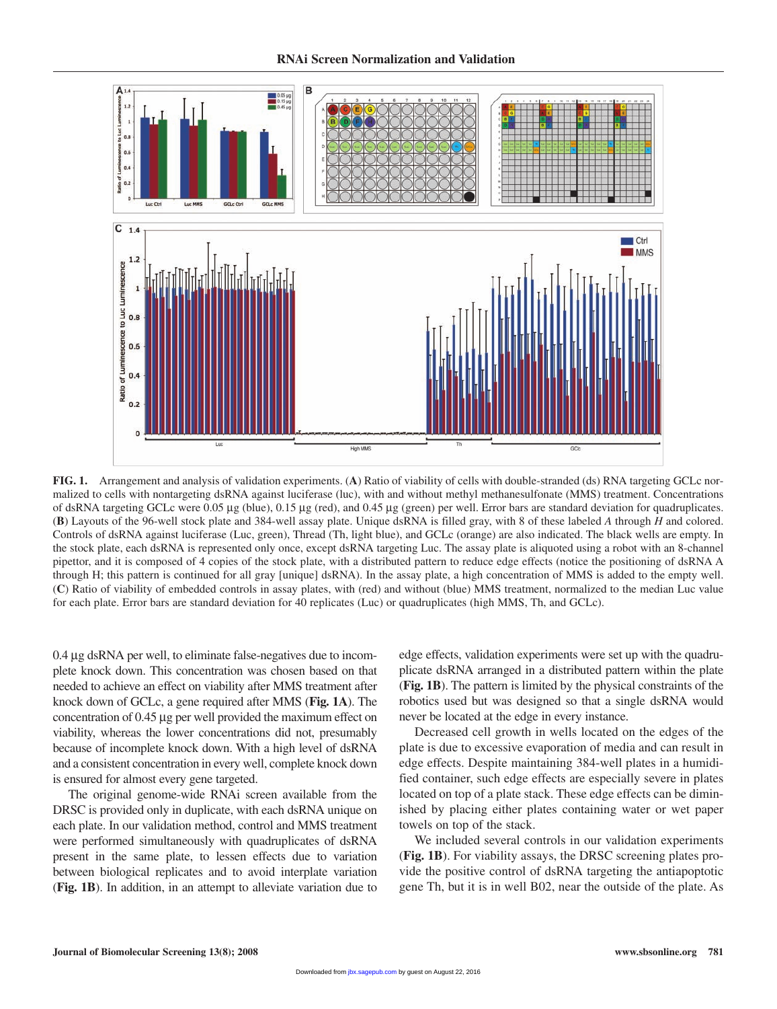

**FIG. 1.** Arrangement and analysis of validation experiments. (**A**) Ratio of viability of cells with double-stranded (ds) RNA targeting GCLc normalized to cells with nontargeting dsRNA against luciferase (luc), with and without methyl methanesulfonate (MMS) treatment. Concentrations of dsRNA targeting GCLc were 0.05 μg (blue), 0.15 μg (red), and 0.45 μg (green) per well. Error bars are standard deviation for quadruplicates. (**B**) Layouts of the 96-well stock plate and 384-well assay plate. Unique dsRNA is filled gray, with 8 of these labeled *A* through *H* and colored. Controls of dsRNA against luciferase (Luc, green), Thread (Th, light blue), and GCLc (orange) are also indicated. The black wells are empty. In the stock plate, each dsRNA is represented only once, except dsRNA targeting Luc. The assay plate is aliquoted using a robot with an 8-channel pipettor, and it is composed of 4 copies of the stock plate, with a distributed pattern to reduce edge effects (notice the positioning of dsRNA A through H; this pattern is continued for all gray [unique] dsRNA). In the assay plate, a high concentration of MMS is added to the empty well. (**C**) Ratio of viability of embedded controls in assay plates, with (red) and without (blue) MMS treatment, normalized to the median Luc value for each plate. Error bars are standard deviation for 40 replicates (Luc) or quadruplicates (high MMS, Th, and GCLc).

0.4 μg dsRNA per well, to eliminate false-negatives due to incomplete knock down. This concentration was chosen based on that needed to achieve an effect on viability after MMS treatment after knock down of GCLc, a gene required after MMS (**Fig. 1A**). The concentration of 0.45 μg per well provided the maximum effect on viability, whereas the lower concentrations did not, presumably because of incomplete knock down. With a high level of dsRNA and a consistent concentration in every well, complete knock down is ensured for almost every gene targeted.

The original genome-wide RNAi screen available from the DRSC is provided only in duplicate, with each dsRNA unique on each plate. In our validation method, control and MMS treatment were performed simultaneously with quadruplicates of dsRNA present in the same plate, to lessen effects due to variation between biological replicates and to avoid interplate variation (**Fig. 1B**). In addition, in an attempt to alleviate variation due to

edge effects, validation experiments were set up with the quadruplicate dsRNA arranged in a distributed pattern within the plate (**Fig. 1B**). The pattern is limited by the physical constraints of the robotics used but was designed so that a single dsRNA would never be located at the edge in every instance.

Decreased cell growth in wells located on the edges of the plate is due to excessive evaporation of media and can result in edge effects. Despite maintaining 384-well plates in a humidified container, such edge effects are especially severe in plates located on top of a plate stack. These edge effects can be diminished by placing either plates containing water or wet paper towels on top of the stack.

We included several controls in our validation experiments (**Fig. 1B**). For viability assays, the DRSC screening plates provide the positive control of dsRNA targeting the antiapoptotic gene Th, but it is in well B02, near the outside of the plate. As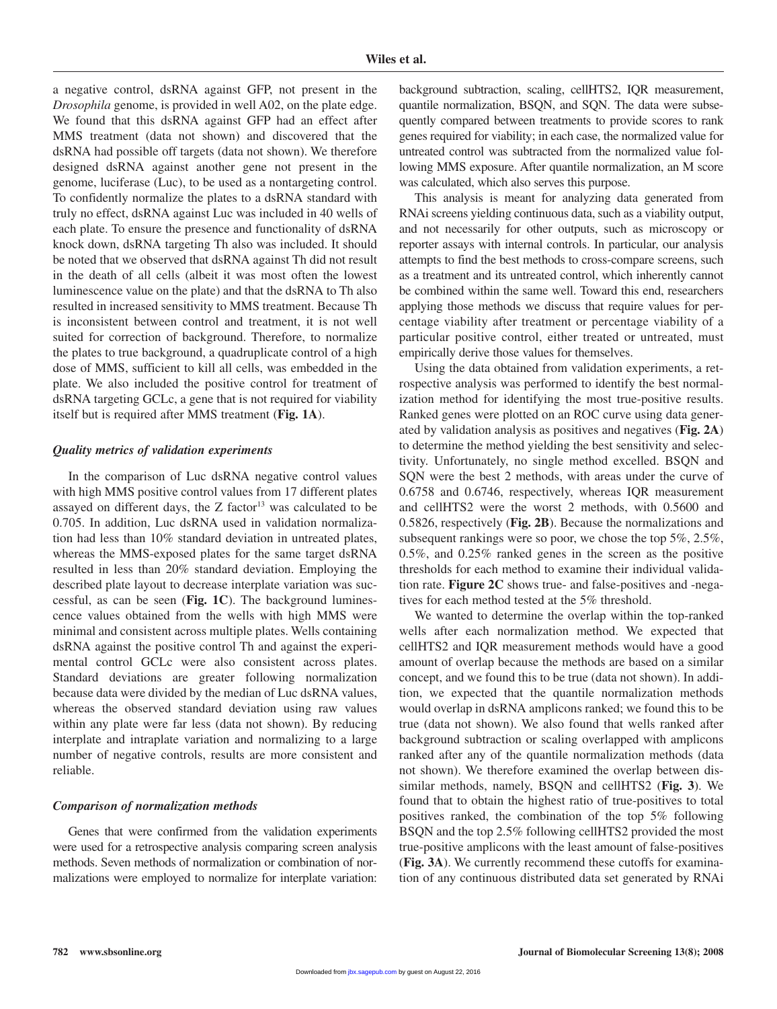a negative control, dsRNA against GFP, not present in the *Drosophila* genome, is provided in well A02, on the plate edge. We found that this dsRNA against GFP had an effect after MMS treatment (data not shown) and discovered that the dsRNA had possible off targets (data not shown). We therefore designed dsRNA against another gene not present in the genome, luciferase (Luc), to be used as a nontargeting control. To confidently normalize the plates to a dsRNA standard with truly no effect, dsRNA against Luc was included in 40 wells of each plate. To ensure the presence and functionality of dsRNA knock down, dsRNA targeting Th also was included. It should be noted that we observed that dsRNA against Th did not result in the death of all cells (albeit it was most often the lowest luminescence value on the plate) and that the dsRNA to Th also resulted in increased sensitivity to MMS treatment. Because Th is inconsistent between control and treatment, it is not well suited for correction of background. Therefore, to normalize the plates to true background, a quadruplicate control of a high dose of MMS, sufficient to kill all cells, was embedded in the plate. We also included the positive control for treatment of dsRNA targeting GCLc, a gene that is not required for viability itself but is required after MMS treatment (**Fig. 1A**).

#### *Quality metrics of validation experiments*

In the comparison of Luc dsRNA negative control values with high MMS positive control values from 17 different plates assayed on different days, the  $Z$  factor<sup>13</sup> was calculated to be 0.705. In addition, Luc dsRNA used in validation normalization had less than 10% standard deviation in untreated plates, whereas the MMS-exposed plates for the same target dsRNA resulted in less than 20% standard deviation. Employing the described plate layout to decrease interplate variation was successful, as can be seen (**Fig. 1C**). The background luminescence values obtained from the wells with high MMS were minimal and consistent across multiple plates. Wells containing dsRNA against the positive control Th and against the experimental control GCLc were also consistent across plates. Standard deviations are greater following normalization because data were divided by the median of Luc dsRNA values, whereas the observed standard deviation using raw values within any plate were far less (data not shown). By reducing interplate and intraplate variation and normalizing to a large number of negative controls, results are more consistent and reliable.

#### *Comparison of normalization methods*

Genes that were confirmed from the validation experiments were used for a retrospective analysis comparing screen analysis methods. Seven methods of normalization or combination of normalizations were employed to normalize for interplate variation: background subtraction, scaling, cellHTS2, IQR measurement, quantile normalization, BSQN, and SQN. The data were subsequently compared between treatments to provide scores to rank genes required for viability; in each case, the normalized value for untreated control was subtracted from the normalized value following MMS exposure. After quantile normalization, an M score was calculated, which also serves this purpose.

This analysis is meant for analyzing data generated from RNAi screens yielding continuous data, such as a viability output, and not necessarily for other outputs, such as microscopy or reporter assays with internal controls. In particular, our analysis attempts to find the best methods to cross-compare screens, such as a treatment and its untreated control, which inherently cannot be combined within the same well. Toward this end, researchers applying those methods we discuss that require values for percentage viability after treatment or percentage viability of a particular positive control, either treated or untreated, must empirically derive those values for themselves.

Using the data obtained from validation experiments, a retrospective analysis was performed to identify the best normalization method for identifying the most true-positive results. Ranked genes were plotted on an ROC curve using data generated by validation analysis as positives and negatives (**Fig. 2A**) to determine the method yielding the best sensitivity and selectivity. Unfortunately, no single method excelled. BSQN and SQN were the best 2 methods, with areas under the curve of 0.6758 and 0.6746, respectively, whereas IQR measurement and cellHTS2 were the worst 2 methods, with 0.5600 and 0.5826, respectively (**Fig. 2B**). Because the normalizations and subsequent rankings were so poor, we chose the top 5%, 2.5%, 0.5%, and 0.25% ranked genes in the screen as the positive thresholds for each method to examine their individual validation rate. **Figure 2C** shows true- and false-positives and -negatives for each method tested at the 5% threshold.

We wanted to determine the overlap within the top-ranked wells after each normalization method. We expected that cellHTS2 and IQR measurement methods would have a good amount of overlap because the methods are based on a similar concept, and we found this to be true (data not shown). In addition, we expected that the quantile normalization methods would overlap in dsRNA amplicons ranked; we found this to be true (data not shown). We also found that wells ranked after background subtraction or scaling overlapped with amplicons ranked after any of the quantile normalization methods (data not shown). We therefore examined the overlap between dissimilar methods, namely, BSQN and cellHTS2 (**Fig. 3**). We found that to obtain the highest ratio of true-positives to total positives ranked, the combination of the top 5% following BSQN and the top 2.5% following cellHTS2 provided the most true-positive amplicons with the least amount of false-positives (**Fig. 3A**). We currently recommend these cutoffs for examination of any continuous distributed data set generated by RNAi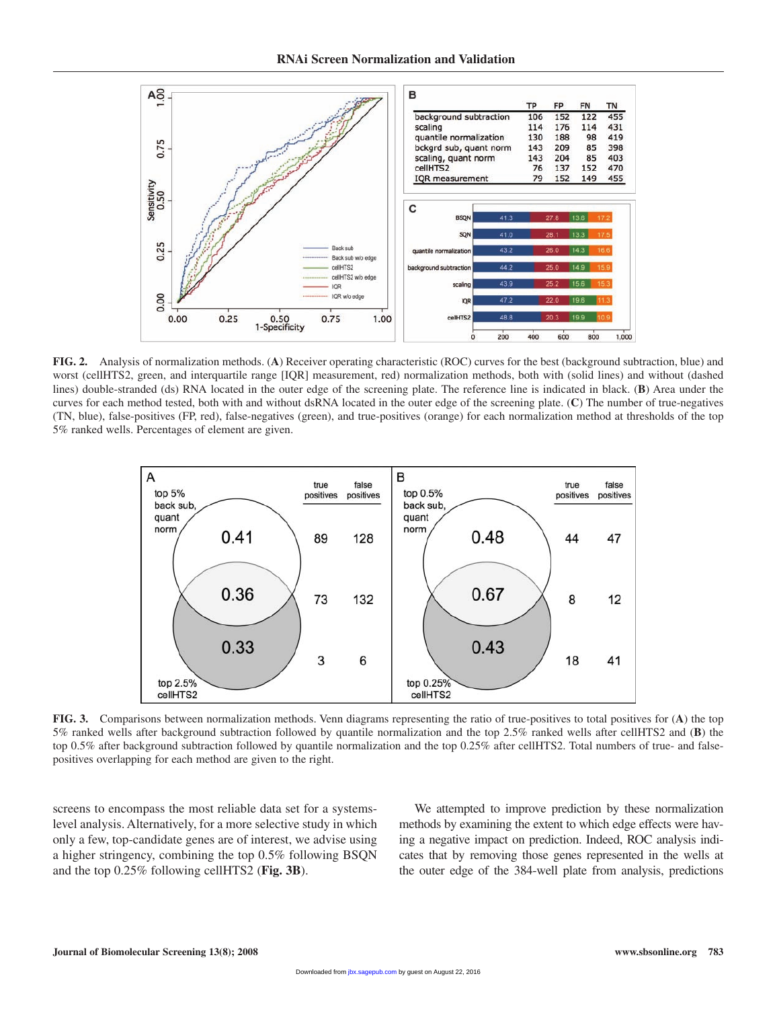

**FIG. 2.** Analysis of normalization methods. (**A**) Receiver operating characteristic (ROC) curves for the best (background subtraction, blue) and worst (cellHTS2, green, and interquartile range [IQR] measurement, red) normalization methods, both with (solid lines) and without (dashed lines) double-stranded (ds) RNA located in the outer edge of the screening plate. The reference line is indicated in black. (**B**) Area under the curves for each method tested, both with and without dsRNA located in the outer edge of the screening plate. (**C**) The number of true-negatives (TN, blue), false-positives (FP, red), false-negatives (green), and true-positives (orange) for each normalization method at thresholds of the top 5% ranked wells. Percentages of element are given.



**FIG. 3.** Comparisons between normalization methods. Venn diagrams representing the ratio of true-positives to total positives for (**A**) the top 5% ranked wells after background subtraction followed by quantile normalization and the top 2.5% ranked wells after cellHTS2 and (**B**) the top 0.5% after background subtraction followed by quantile normalization and the top 0.25% after cellHTS2. Total numbers of true- and falsepositives overlapping for each method are given to the right.

screens to encompass the most reliable data set for a systemslevel analysis. Alternatively, for a more selective study in which only a few, top-candidate genes are of interest, we advise using a higher stringency, combining the top 0.5% following BSQN and the top 0.25% following cellHTS2 (**Fig. 3B**).

We attempted to improve prediction by these normalization methods by examining the extent to which edge effects were having a negative impact on prediction. Indeed, ROC analysis indicates that by removing those genes represented in the wells at the outer edge of the 384-well plate from analysis, predictions